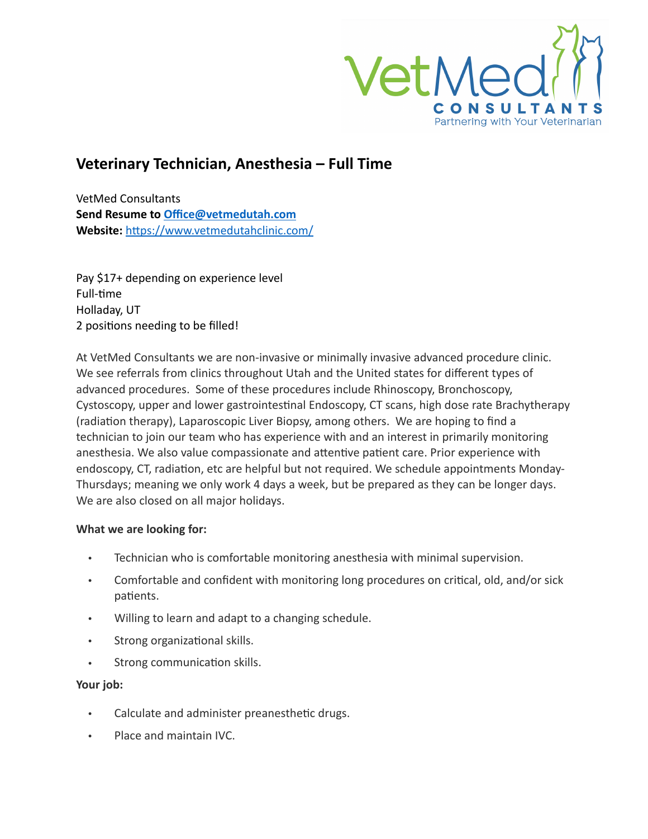

## **Veterinary Technician, Anesthesia – Full Time**

VetMed Consultants **Send Resume to Office@vetmedutah.com Website:** https://www.vetmedutahclinic.com/

Pay \$17+ depending on experience level Full-time Holladay, UT 2 positions needing to be filled!

At VetMed Consultants we are non-invasive or minimally invasive advanced procedure clinic. We see referrals from clinics throughout Utah and the United states for different types of advanced procedures. Some of these procedures include Rhinoscopy, Bronchoscopy, Cystoscopy, upper and lower gastrointestinal Endoscopy, CT scans, high dose rate Brachytherapy (radiation therapy), Laparoscopic Liver Biopsy, among others. We are hoping to find a technician to join our team who has experience with and an interest in primarily monitoring anesthesia. We also value compassionate and attentive patient care. Prior experience with endoscopy, CT, radiation, etc are helpful but not required. We schedule appointments Monday-Thursdays; meaning we only work 4 days a week, but be prepared as they can be longer days. We are also closed on all major holidays.

## **What we are looking for:**

- Technician who is comfortable monitoring anesthesia with minimal supervision.
- Comfortable and confident with monitoring long procedures on critical, old, and/or sick patients.
- Willing to learn and adapt to a changing schedule.
- Strong organizational skills.
- Strong communication skills.

## **Your job:**

- Calculate and administer preanesthetic drugs.
- Place and maintain IVC.